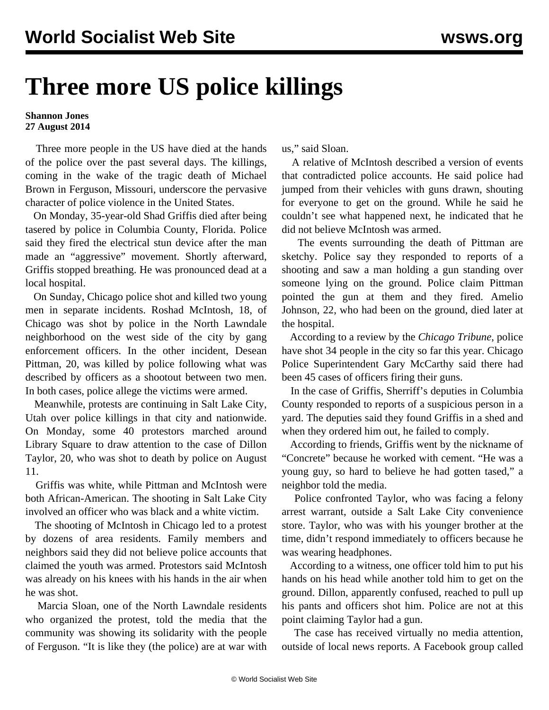## **Three more US police killings**

## **Shannon Jones 27 August 2014**

 Three more people in the US have died at the hands of the police over the past several days. The killings, coming in the wake of the tragic death of Michael Brown in Ferguson, Missouri, underscore the pervasive character of police violence in the United States.

 On Monday, 35-year-old Shad Griffis died after being tasered by police in Columbia County, Florida. Police said they fired the electrical stun device after the man made an "aggressive" movement. Shortly afterward, Griffis stopped breathing. He was pronounced dead at a local hospital.

 On Sunday, Chicago police shot and killed two young men in separate incidents. Roshad McIntosh, 18, of Chicago was shot by police in the North Lawndale neighborhood on the west side of the city by gang enforcement officers. In the other incident, Desean Pittman, 20, was killed by police following what was described by officers as a shootout between two men. In both cases, police allege the victims were armed.

 Meanwhile, protests are continuing in Salt Lake City, Utah over police killings in that city and nationwide. On Monday, some 40 protestors marched around Library Square to draw attention to the case of Dillon Taylor, 20, who was shot to death by police on August 11.

 Griffis was white, while Pittman and McIntosh were both African-American. The shooting in Salt Lake City involved an officer who was black and a white victim.

 The shooting of McIntosh in Chicago led to a protest by dozens of area residents. Family members and neighbors said they did not believe police accounts that claimed the youth was armed. Protestors said McIntosh was already on his knees with his hands in the air when he was shot.

 Marcia Sloan, one of the North Lawndale residents who organized the protest, told the media that the community was showing its solidarity with the people of Ferguson. "It is like they (the police) are at war with us," said Sloan.

 A relative of McIntosh described a version of events that contradicted police accounts. He said police had jumped from their vehicles with guns drawn, shouting for everyone to get on the ground. While he said he couldn't see what happened next, he indicated that he did not believe McIntosh was armed.

 The events surrounding the death of Pittman are sketchy. Police say they responded to reports of a shooting and saw a man holding a gun standing over someone lying on the ground. Police claim Pittman pointed the gun at them and they fired. Amelio Johnson, 22, who had been on the ground, died later at the hospital.

 According to a review by the *Chicago Tribune*, police have shot 34 people in the city so far this year. Chicago Police Superintendent Gary McCarthy said there had been 45 cases of officers firing their guns.

 In the case of Griffis, Sherriff's deputies in Columbia County responded to reports of a suspicious person in a yard. The deputies said they found Griffis in a shed and when they ordered him out, he failed to comply.

 According to friends, Griffis went by the nickname of "Concrete" because he worked with cement. "He was a young guy, so hard to believe he had gotten tased," a neighbor told the media.

 Police confronted Taylor, who was facing a felony arrest warrant, outside a Salt Lake City convenience store. Taylor, who was with his younger brother at the time, didn't respond immediately to officers because he was wearing headphones.

 According to a witness, one officer told him to put his hands on his head while another told him to get on the ground. Dillon, apparently confused, reached to pull up his pants and officers shot him. Police are not at this point claiming Taylor had a gun.

 The case has received virtually no media attention, outside of local news reports. A Facebook group called